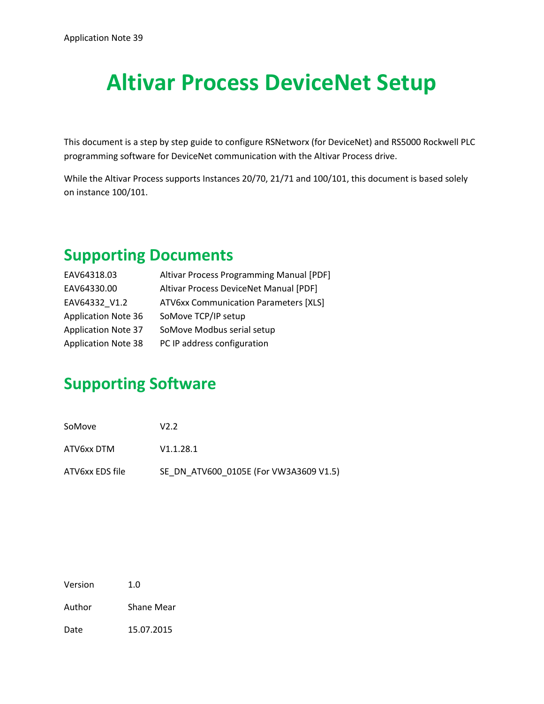# **Altivar Process DeviceNet Setup**

This document is a step by step guide to configure RSNetworx (for DeviceNet) and RS5000 Rockwell PLC programming software for DeviceNet communication with the Altivar Process drive.

While the Altivar Process supports Instances 20/70, 21/71 and 100/101, this document is based solely on instance 100/101.

## **Supporting Documents**

| EAV64318.03                | Altivar Process Programming Manual [PDF]     |
|----------------------------|----------------------------------------------|
| EAV64330.00                | Altivar Process DeviceNet Manual [PDF]       |
| EAV64332 V1.2              | <b>ATV6xx Communication Parameters [XLS]</b> |
| <b>Application Note 36</b> | SoMove TCP/IP setup                          |
| <b>Application Note 37</b> | SoMove Modbus serial setup                   |
| <b>Application Note 38</b> | PC IP address configuration                  |
|                            |                                              |

## **Supporting Software**

| SoMove          | V2.2                                   |
|-----------------|----------------------------------------|
| ATV6xx DTM      | V1.1.28.1                              |
| ATV6xx EDS file | SE DN ATV600 0105E (For VW3A3609 V1.5) |

Version 1.0

Author Shane Mear

Date 15.07.2015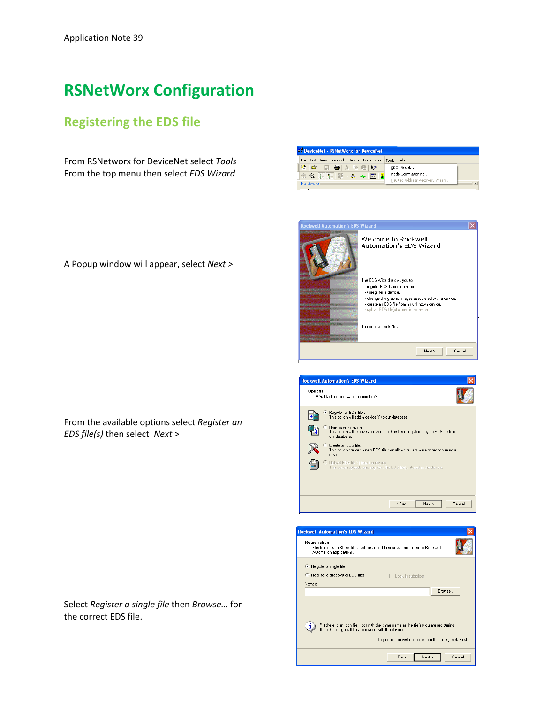## **RSNetWorx Configuration**

### **Registering the EDS file**

From RSNetworx for DeviceNet select *Tools* From the top menu then select *EDS Wizard*

|  |  | A Popup window will appear, select Next > |  |  |  |  |
|--|--|-------------------------------------------|--|--|--|--|
|--|--|-------------------------------------------|--|--|--|--|

From the available options select *Register an EDS file(s)* then select *Next >*

Select *Register a single file* then *Browse…* for the correct EDS file.

| File Edit View Network Device Diagnostics Tools Help |
|------------------------------------------------------|
| EDS Wizard                                           |
| Node Commissioning<br>$\circledR$                    |
| Faulted Address Recovery Wizard<br>$\vert x \vert$   |
| <sup>2</sup> DeviceNet - RSNetWorx for DeviceNet     |

| <b>Rockwell Automation's EDS Wizard</b> |                                                                                                                                                                                                                                                                         |  |
|-----------------------------------------|-------------------------------------------------------------------------------------------------------------------------------------------------------------------------------------------------------------------------------------------------------------------------|--|
|                                         | Welcome to Rockwell<br>Automation's EDS Wizard                                                                                                                                                                                                                          |  |
|                                         | The EDS Wizard allows you to:<br>- register EDS-based devices.<br>- unregister a device.<br>- change the graphic images associated with a device.<br>- create an EDS file from an unknown device.<br>- upload EDS file(s) stored in a device.<br>To continue click Next |  |
|                                         | Next ><br>Cancel                                                                                                                                                                                                                                                        |  |

| <b>Rockwell Automation's EDS Wizard</b>                                                                                |  |  |
|------------------------------------------------------------------------------------------------------------------------|--|--|
| <b>Options</b><br>What task do you want to complete?                                                                   |  |  |
| Register an EDS file(s).<br>This option will add a device(s) to our database.                                          |  |  |
| Unregister a device.<br>This option will remove a device that has been registered by an EDS file from<br>our database. |  |  |
| Create an EDS file<br>This option creates a new EDS file that allows our software to recognize your<br>device.         |  |  |
| $\cap$ Upload EDS file(s) from the device.<br>This option uploads and registers the EDS file(s) stored in the device.  |  |  |
|                                                                                                                        |  |  |
|                                                                                                                        |  |  |
| Next ><br>Cancel<br>< Back                                                                                             |  |  |

| <b>Rockwell Automation's EDS Wizard</b>                                                                                                             |                                                            |               |
|-----------------------------------------------------------------------------------------------------------------------------------------------------|------------------------------------------------------------|---------------|
| Registration<br>Electronic Data Sheet file(s) will be added to your system for use in Rockwell<br>Automation applications.                          |                                                            |               |
| ← Register a single file<br>Register a directory of EDS files<br>Named:                                                                             | $\Box$ Look in subfolders                                  |               |
|                                                                                                                                                     |                                                            | <b>Browse</b> |
| * If there is an icon file (.ico) with the same name as the file(s) you are registering<br>ı<br>then this image will be associated with the device. | To perform an installation test on the file[s], click Next |               |
|                                                                                                                                                     | < Back<br>Next >                                           | Cancel        |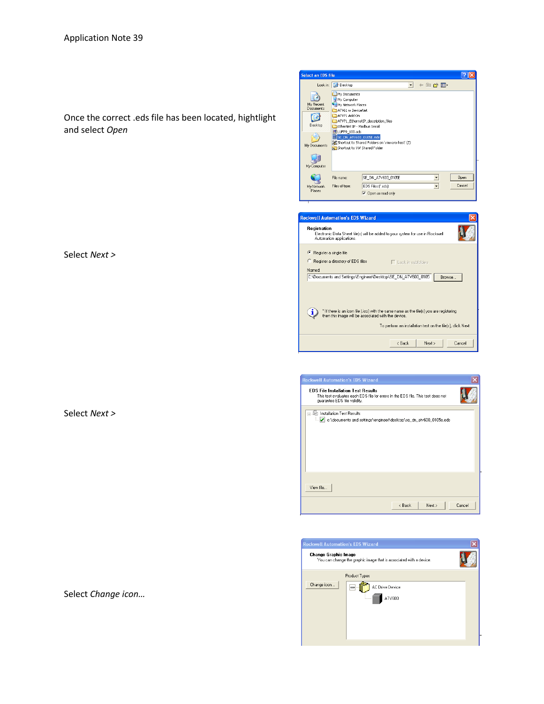Once the correct .eds file has been located, hightlight and select *Open*

Select *Next >*

Select *Next >*

Select *Change icon…*



| <b>Rockwell Automation's EDS Wizard</b>                                                                                                                                                                           |
|-------------------------------------------------------------------------------------------------------------------------------------------------------------------------------------------------------------------|
| Registration<br>Electronic Data Sheet file(s) will be added to your system for use in Rockwell<br>Automation applications.                                                                                        |
| Register a single file                                                                                                                                                                                            |
| Register a directory of EDS files<br>$\Box$ Look in subfolders                                                                                                                                                    |
| Named:                                                                                                                                                                                                            |
| C:\Documents and Settings\Engineer\Desktop\SE_DN_ATV600_0105<br>Browse                                                                                                                                            |
| * If there is an icon file [.ico] with the same name as the file[s] you are registering<br>п<br>then this image will be associated with the device.<br>To perform an installation test on the file[s], click Next |
| Cancel<br>< Back<br>Next >                                                                                                                                                                                        |

| <b>Rockwell Automation's EDS Wizard</b>                                                                                                                       |        |
|---------------------------------------------------------------------------------------------------------------------------------------------------------------|--------|
| <b>EDS File Installation Test Results</b><br>This test evaluates each EDS file for errors in the EDS file. This test does not<br>guarantee EDS file validity. |        |
| Installation Test Results<br>o Ut<br>c:\documents and settings\engineer\desktop\se_dn_atv600_0105e.eds                                                        |        |
| View file                                                                                                                                                     |        |
| < Back<br>Next >                                                                                                                                              | Cancel |

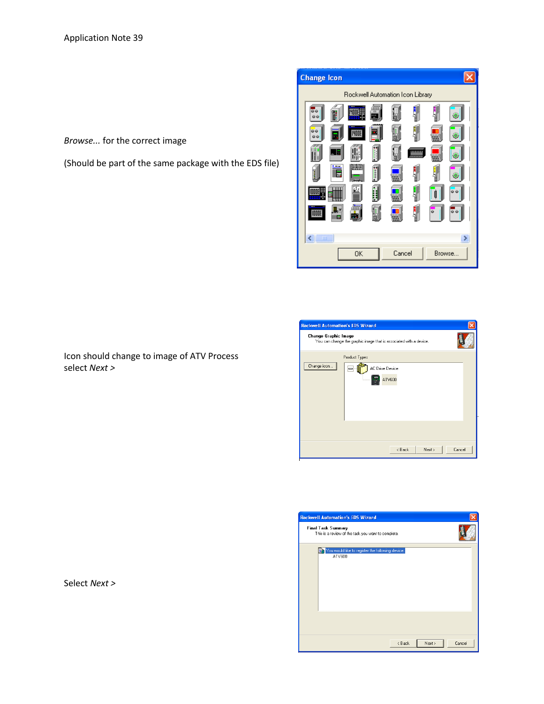*Browse...* for the correct image

(Should be part of the same package with the EDS file)

Icon should change to image of ATV Process



| <b>Rockwell Automation's EDS Wizard</b>                                                    |                                                        |  |
|--------------------------------------------------------------------------------------------|--------------------------------------------------------|--|
| Change Graphic Image<br>You can change the graphic image that is associated with a device. |                                                        |  |
| Change icon                                                                                | Product Types<br>AC Drive Device<br>$\equiv$<br>ATV600 |  |
|                                                                                            | < Back<br>Next ><br>Cancel                             |  |

| <b>Rockwell Automation's EDS Wizard</b>                                         |                              |
|---------------------------------------------------------------------------------|------------------------------|
| <b>Final Task Summary</b><br>This is a review of the task you want to complete. |                              |
| You would like to register the following device.<br>ATV600                      |                              |
|                                                                                 |                              |
|                                                                                 | Cancel<br>$8$ Back<br>Next > |

Select *Next >*

select *Next >*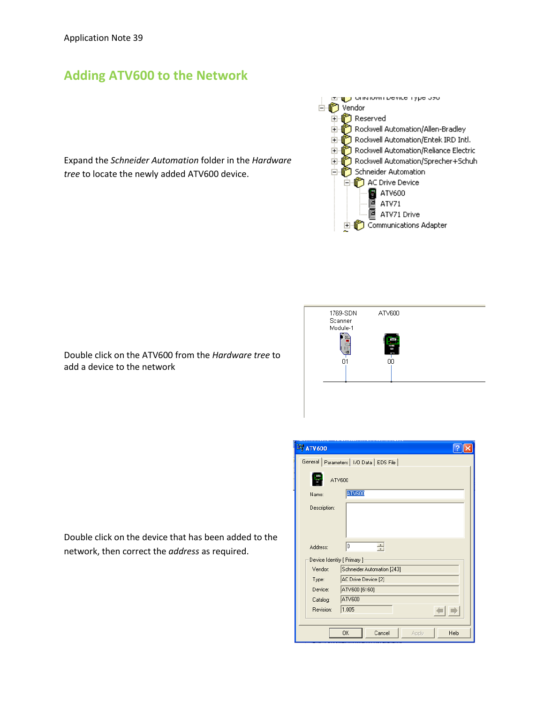### **Adding ATV600 to the Network**

Expand the *Schneider Automation* folder in the *Hardware tree* to locate the newly added ATV600 device.



Scanner Module-1 맠 ė  $01$ n'n

ATV600

1769-SDN

Double click on the device that has been added to the network, then correct the *address* as required.

Double click on the ATV600 from the *Hardware tree* to

add a device to the network

| <b>EF ATV600</b>                         |
|------------------------------------------|
| General Parameters   I/O Data   EDS File |
| ATV600                                   |
| ATV600<br>Name:                          |
| Description:                             |
| ۱o<br>÷<br>Address:                      |
| Device Identity [ Primary ]              |
| Vendor:<br>Schneider Automation [243]    |
| AC Drive Device [2]<br>Type:             |
| ATV600 [6160]<br>Device:                 |
| ATV600<br>Catalog:                       |
| 1.005<br>Revision:                       |
| <b>OK</b><br>Cancel<br>Help<br>Apply     |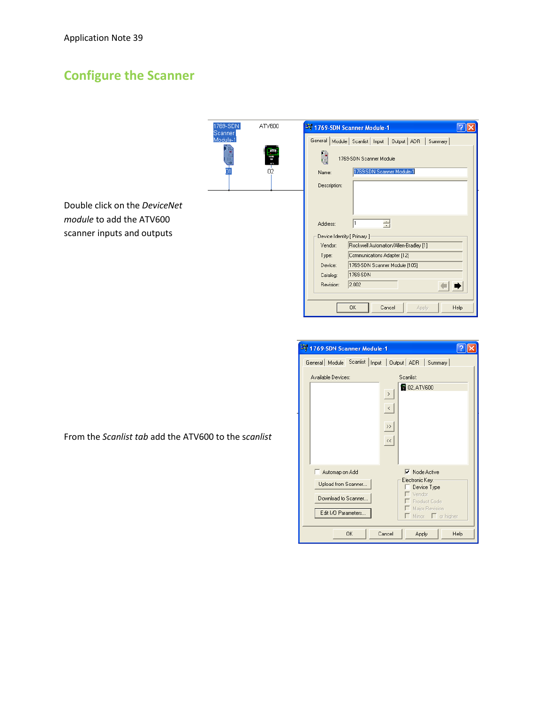## **Configure the Scanner**

| 1769-SDN<br>ATV600<br>Scanner | 2% 1769-SDN Scanner Module-1<br>?                                |
|-------------------------------|------------------------------------------------------------------|
| Module-1                      | Module   Scanlist   Input   Output   ADR<br>General  <br>Summary |
| Ş<br>疆                        | 1769-SDN Scanner Module<br>u                                     |
| $\overline{02}$<br>01         | 1769-SDN Scanner Module-1<br>Name:                               |
|                               | Description:                                                     |
|                               |                                                                  |
| Vet                           |                                                                  |
|                               | 今<br>11<br>Address:                                              |
|                               | Device Identity [ Primary ]                                      |
|                               | Rockwell Automation/Allen-Bradley [1]<br>Vendor:                 |
|                               | Communications Adapter [12]<br>Type:                             |
|                               | 1769-SDN Scanner Module [105]<br>Device:                         |
|                               | 1769-SDN<br>Catalog:                                             |
|                               | 2.002<br>Revision:                                               |
|                               | 0K<br>Cancel<br>Help<br>Apply                                    |

| 3 1769-SDN Scanner Module-1                                                         |                                                                                                                                              |  |  |  |  |  |
|-------------------------------------------------------------------------------------|----------------------------------------------------------------------------------------------------------------------------------------------|--|--|--|--|--|
| General   Module   Scanlist   Input   Output   ADR   Summary                        |                                                                                                                                              |  |  |  |  |  |
| Available Devices:                                                                  | Scanlist:                                                                                                                                    |  |  |  |  |  |
|                                                                                     | <b>8</b> 02, ATV600<br>$\,$<br>$\langle \ \ \rangle$<br>$\rightarrow$<br>$\prec\!\prec$                                                      |  |  |  |  |  |
| Automap on Add<br>Upload from Scanner<br>Download to Scanner<br>Edit I/O Parameters | $\overline{\vee}$ Node Active<br>Electronic Key:<br>Device Type<br>Vendor<br>Product Code<br>Major Revision<br>$\Box$ Minor $\Box$ or higher |  |  |  |  |  |
| 0K                                                                                  | Cancel<br>Apply<br>Help                                                                                                                      |  |  |  |  |  |

Double click on the *Devicel module* to add the ATV600 scanner inputs and outputs

From the *Scanlist tab* add the ATV600 to the s*canlist*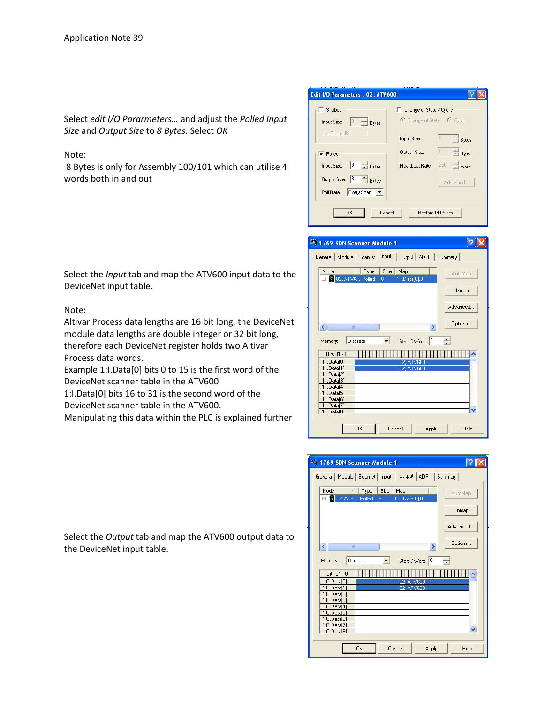Select *edit I/O Pararmeters…* and adjust the *Polled Input Size* and *Output Size* to *8 Bytes.* Select *OK*

#### Note:

8 Bytes is only for Assembly 100/101 which can utilise 4 words both in and out

| Edit I/O Parameters: 02, ATV600                  |                                                  |  |  |  |  |  |  |
|--------------------------------------------------|--------------------------------------------------|--|--|--|--|--|--|
|                                                  |                                                  |  |  |  |  |  |  |
| Strobed:                                         | Change of State / Cyclic:                        |  |  |  |  |  |  |
| $\frac{1}{x}$ Bytes<br>$\sqrt{0}$<br>Input Size: | © Change of State C Cyclic                       |  |  |  |  |  |  |
| Use Output Bit:                                  | $\frac{1}{\sqrt{2}}$ Bytes<br>lo.<br>Input Size: |  |  |  |  |  |  |
| $\overline{\mathbf{v}}$ Polled:                  | $\frac{1}{x}$ Bytes<br>10<br>Output Size:        |  |  |  |  |  |  |
| $\frac{1}{\sqrt{2}}$ Bytes<br>8<br>Input Size:   | $\frac{1}{x}$ msec<br>250<br>Heartbeat Rate:     |  |  |  |  |  |  |
| $\frac{1}{\sqrt{2}}$ Bytes<br>8<br>Output Size:  | Advanced                                         |  |  |  |  |  |  |
| Every Scan<br>Poll Rate:                         |                                                  |  |  |  |  |  |  |
|                                                  |                                                  |  |  |  |  |  |  |
| Cancel<br>Restore I/O Sizes<br>OK                |                                                  |  |  |  |  |  |  |

| 3% 1769-SDN Scanner Module-1                                                                       |          |
|----------------------------------------------------------------------------------------------------|----------|
| General   Module   Scanlist   Input<br>Output ADR Summary                                          |          |
| $Size \vert$<br>Node<br>Type<br>Map<br>$\lambda$<br><b>EM</b> 2, ATV6 Polled<br>1:1.Data[0].0<br>8 | AutoMap  |
|                                                                                                    | Unmap    |
|                                                                                                    | Advanced |
| ∢∥<br>ШI<br>×.                                                                                     | Options  |
| Start DWord: 0<br>Discrete<br>Memory:                                                              | ÷        |
| Bits 31 - 0                                                                                        |          |
| $1:1$ , $D$ at a $f$ 01<br>02, ATV600                                                              |          |
| 1:1.Data[1]<br>02. ATV600<br>$1:1.D$ ata $[2]$                                                     |          |
| 1:1.Data[3]                                                                                        |          |
| 1:1.Data[4]                                                                                        |          |
| 1:1.Data[5]                                                                                        |          |
| 1:1.Data[6]                                                                                        |          |
| 1:1.Data[7]<br>1:LData[8]                                                                          |          |
|                                                                                                    |          |
| <b>OK</b><br>Cancel<br>Apply                                                                       | Help     |

| Output   ADR<br>General   Module   Scanlist   Input<br>Summary<br>Size<br>Node<br>Type<br>Map<br>ý.<br>AutoMap<br>田 3 02, ATV Polled<br>1:0.Data[0].0<br>8<br>Unmap<br>Advanced<br>Options<br>$\leftarrow$<br>m<br>×. |
|-----------------------------------------------------------------------------------------------------------------------------------------------------------------------------------------------------------------------|
|                                                                                                                                                                                                                       |
|                                                                                                                                                                                                                       |
|                                                                                                                                                                                                                       |
|                                                                                                                                                                                                                       |
|                                                                                                                                                                                                                       |
| Discrete<br>Start DWord: 0<br>÷<br>Memory:                                                                                                                                                                            |
| Bits 31 - 0<br>$1:0.D$ ata $[0]$<br>02, ATV600                                                                                                                                                                        |
| $1:0.D$ ata $[1]$<br>02.ATV600<br>$1:0.D$ atal $21$<br>$1:0.D$ ata[3]                                                                                                                                                 |
| $1:0.D$ ata $[4]$<br>$1:0.D$ ata $[5]$<br>$1:0.D$ ata $[6]$                                                                                                                                                           |
| $1:0.D$ atal $71$<br>$1:0.D$ atal $81$                                                                                                                                                                                |
| <b>OK</b><br>Cancel<br>Help<br>Apply                                                                                                                                                                                  |

Select the *Input* tab and map the ATV600 input data to the DeviceNet input table.

#### Note:

Altivar Process data lengths are 16 bit long, the DeviceNet module data lengths are double integer or 32 bit long, therefore each DeviceNet register holds two Altivar Process data words.

Example 1:I.Data[0] bits 0 to 15 is the first word of the DeviceNet scanner table in the ATV600

1:I.Data[0] bits 16 to 31 is the second word of the

DeviceNet scanner table in the ATV600.

Manipulating this data within the PLC is explained further

Select the *Output* tab and map the ATV600 output data to the DeviceNet input table.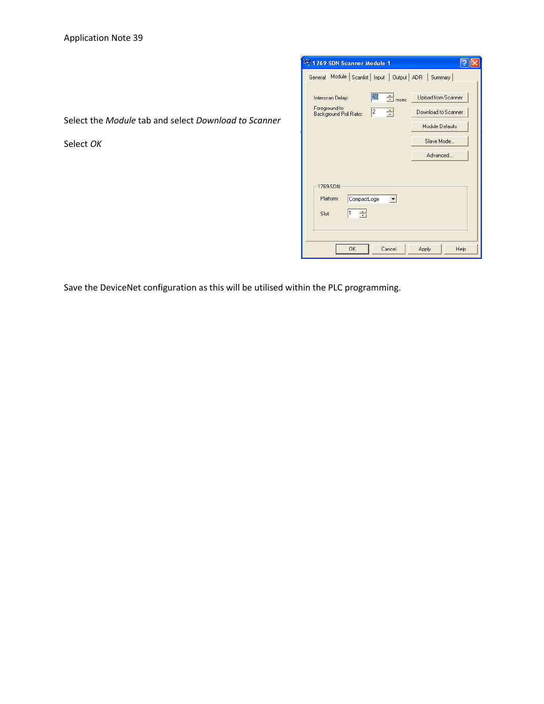| General Module Scanlist   Input   Output   ADR   Summary |              |                           |                     |
|----------------------------------------------------------|--------------|---------------------------|---------------------|
|                                                          |              |                           |                     |
| Interscan Delay:                                         | 20           | $\frac{1}{\sqrt{2}}$ msec | Upload from Scanner |
| Foreground to<br>Background Poll Ratio:                  | 2            | ÷                         | Download to Scanner |
|                                                          |              |                           | Module Defaults     |
|                                                          |              |                           | Slave Mode          |
|                                                          |              |                           | Advanced            |
|                                                          |              |                           |                     |
|                                                          |              |                           |                     |
|                                                          |              |                           |                     |
| 1769-SDN:                                                |              |                           |                     |
| Platform:                                                | CompactLogix |                           |                     |
| 11<br>Slot:                                              | ÷            |                           |                     |
|                                                          |              |                           |                     |

Select the *Module* tab and select *Download to Scanner*

Select *OK*

Save the DeviceNet configuration as this will be utilised within the PLC programming.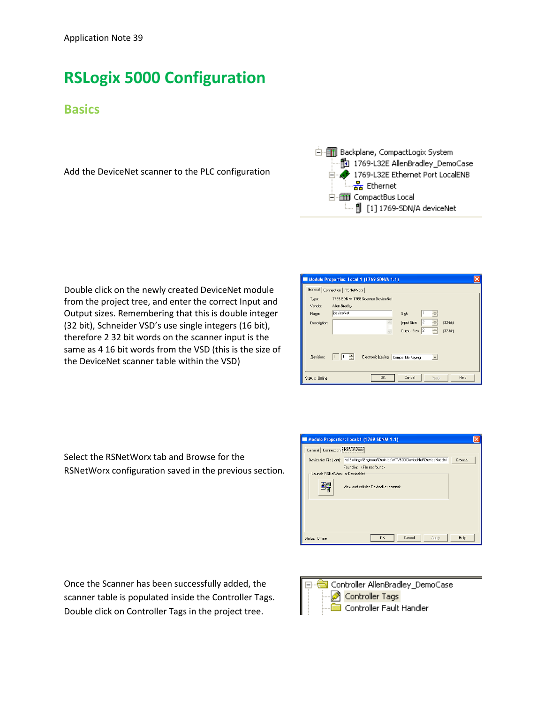## **RSLogix 5000 Configuration**

### **Basics**

Add the DeviceNet scanner to the PLC configuration



Double click on the newly created DeviceNet module from the project tree, and enter the correct Input and Output sizes. Remembering that this is double integer (32 bit), Schneider VSD's use single integers (16 bit), therefore 2 32 bit words on the scanner input is the same as 4 16 bit words from the VSD (this is the size of the DeviceNet scanner table within the VSD)

|                  | Module Properties: Local:1 (1769-SDN/A 1.1)                         |  |
|------------------|---------------------------------------------------------------------|--|
| General          | Connection   RSNetWorx                                              |  |
| Type:<br>Vendor: | 1769-SDN/A 1769 Scanner DeviceNet<br>Allen-Bradley                  |  |
| Name:            | deviceNet<br>÷<br>Slot:                                             |  |
| Description:     | 2<br>Input Size:<br>$[32-bit]$<br>÷<br>Output Size: 2<br>$[32-bit]$ |  |
| Revision:        | ÷<br>Electronic Keying: Compatible Keying<br>$\blacktriangledown$   |  |
| Status: Offline  | Cancel<br><b>OK</b><br>Help.<br>Apply                               |  |

Select the RSNetWorx tab and Browse for the RSNetWorx configuration saved in the previous section.

|                                     | Module Properties: Local:1 (1769-SDN/A 1.1)                                         |               |
|-------------------------------------|-------------------------------------------------------------------------------------|---------------|
| General Connection <b>RSNetWork</b> |                                                                                     |               |
|                                     | DeviceNet File [.dnt]: Ind Settings\Engineer\Desktop\ATV600 DeviceNet\DeviceNet.dnt | <b>Browse</b> |
| Launch RSNetWorx for DeviceNet      | Found in: <file found="" not=""><br/>View and edit the DeviceNet network</file>     |               |
| Status: Offine                      | <b>OK</b><br>Cancel<br>Apply                                                        | <b>Help</b>   |

Once the Scanner has been successfully added, the scanner table is populated inside the Controller Tags. Double click on Controller Tags in the project tree.

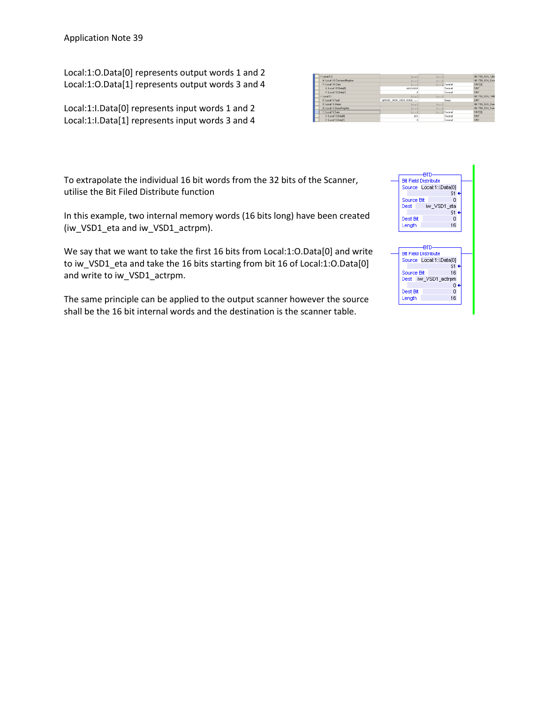Local:1:O.Data[0] represents output words 1 and 2 Local:1:O.Data[1] represents output words 3 and 4

Local:1:I.Data[0] represents input words 1 and 2 Local:1:I.Data[1] represents input words 3 and 4

| $H$ : fással $H$            | $\{1, 1, 1\}$         | (1, 1)  |                  | AB:1769_SDN_12By  |
|-----------------------------|-----------------------|---------|------------------|-------------------|
| + Local 1:0 CommandRegister | ${}$                  | (1, 1)  |                  | AB:1769 SDN Com   |
| E-Local10.Data              | ${,}$                 |         | $[]$ Decimal     | DINT[2]           |
| + Local1:0.Data[0]          | 49152000              |         | Decimal          | DINT              |
| + Local1:0.Datal11          | $\mathbf 0$           |         | Decimal          | DINT              |
| El-Local1H                  | ${,}$                 | $($ $)$ |                  | AB:1769_SDN_144E  |
| El Local 1:1 Fault          | 2#0000 0000 0000 0000 |         | Binary           | DINT              |
| + Local 1:LStatus           | $\{1, 1, 1\}$         | ${}$    |                  | AB:1769_SDN_Stab. |
| + Local 11.StatusRegister   | ${1, }$               | (1, 1)  |                  | AB:1769 SDN Stab  |
| Ellocal11Data               | ${,}$                 |         | $(-, 1)$ Decimal | DINTIZI           |
| + Local1:LData[0]           | 563                   |         | Decimal          | DINT              |
| + Local1:LData[1]           | $\mathbf{0}$          |         | Decimal          | DINT              |

To extrapolate the individual 16 bit words from the 32 bits of the Scanner, utilise the Bit Filed Distribute function

In this example, two internal memory words (16 bits long) have been created (iw\_VSD1\_eta and iw\_VSD1\_actrpm).

We say that we want to take the first 16 bits from Local:1:O.Data[0] and write to iw\_VSD1\_eta and take the 16 bits starting from bit 16 of Local:1:O.Data[0] and write to iw\_VSD1\_actrpm.

The same principle can be applied to the output scanner however the source shall be the 16 bit internal words and the destination is the scanner table.

| atn                         |  |
|-----------------------------|--|
| <b>Bit Field Distribute</b> |  |
| Source Local:1:I.Data[0]    |  |
| 51                          |  |
| Source Bit<br>n             |  |
| iw_VSD1_eta<br>Dest         |  |
| 51                          |  |
| 0<br>Dest Bit               |  |
| 16<br>Length                |  |
|                             |  |
|                             |  |
|                             |  |
| ato                         |  |
| <b>Bit Field Distribute</b> |  |
| Source Local:1:I.Data[0]    |  |
| 51.                         |  |
| 16<br>Source Bit            |  |
| Dest iw VSD1 actrpm         |  |
| Ω                           |  |
| Dest Bit<br>0               |  |
|                             |  |
| 16<br>Length                |  |
|                             |  |